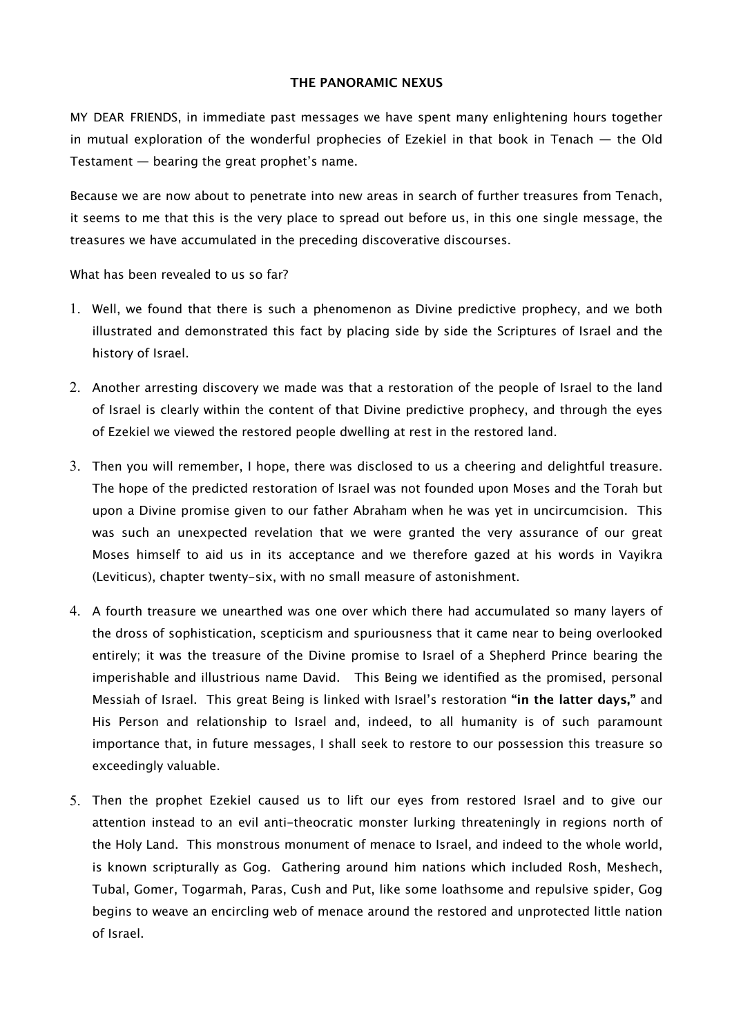### **THE PANORAMIC NEXUS**

MY DEAR FRIENDS, in immediate past messages we have spent many enlightening hours together in mutual exploration of the wonderful prophecies of Ezekiel in that book in Tenach — the Old Testament — bearing the great prophet's name.

Because we are now about to penetrate into new areas in search of further treasures from Tenach, it seems to me that this is the very place to spread out before us, in this one single message, the treasures we have accumulated in the preceding discoverative discourses.

What has been revealed to us so far?

- 1. Well, we found that there is such a phenomenon as Divine predictive prophecy, and we both illustrated and demonstrated this fact by placing side by side the Scriptures of Israel and the history of Israel.
- 2. Another arresting discovery we made was that a restoration of the people of Israel to the land of Israel is clearly within the content of that Divine predictive prophecy, and through the eyes of Ezekiel we viewed the restored people dwelling at rest in the restored land.
- 3. Then you will remember, I hope, there was disclosed to us a cheering and delightful treasure. The hope of the predicted restoration of Israel was not founded upon Moses and the Torah but upon a Divine promise given to our father Abraham when he was yet in uncircumcision. This was such an unexpected revelation that we were granted the very assurance of our great Moses himself to aid us in its acceptance and we therefore gazed at his words in Vayikra (Leviticus), chapter twenty-six, with no small measure of astonishment.
- 4. A fourth treasure we unearthed was one over which there had accumulated so many layers of the dross of sophistication, scepticism and spuriousness that it came near to being overlooked entirely; it was the treasure of the Divine promise to Israel of a Shepherd Prince bearing the imperishable and illustrious name David. This Being we identified as the promised, personal Messiah of Israel. This great Being is linked with Israel's restoration **"in the latter days,"** and His Person and relationship to Israel and, indeed, to all humanity is of such paramount importance that, in future messages, I shall seek to restore to our possession this treasure so exceedingly valuable.
- 5. Then the prophet Ezekiel caused us to lift our eyes from restored Israel and to give our attention instead to an evil anti-theocratic monster lurking threateningly in regions north of the Holy Land. This monstrous monument of menace to Israel, and indeed to the whole world, is known scripturally as Gog. Gathering around him nations which included Rosh, Meshech, Tubal, Gomer, Togarmah, Paras, Cush and Put, like some loathsome and repulsive spider, Gog begins to weave an encircling web of menace around the restored and unprotected little nation of Israel.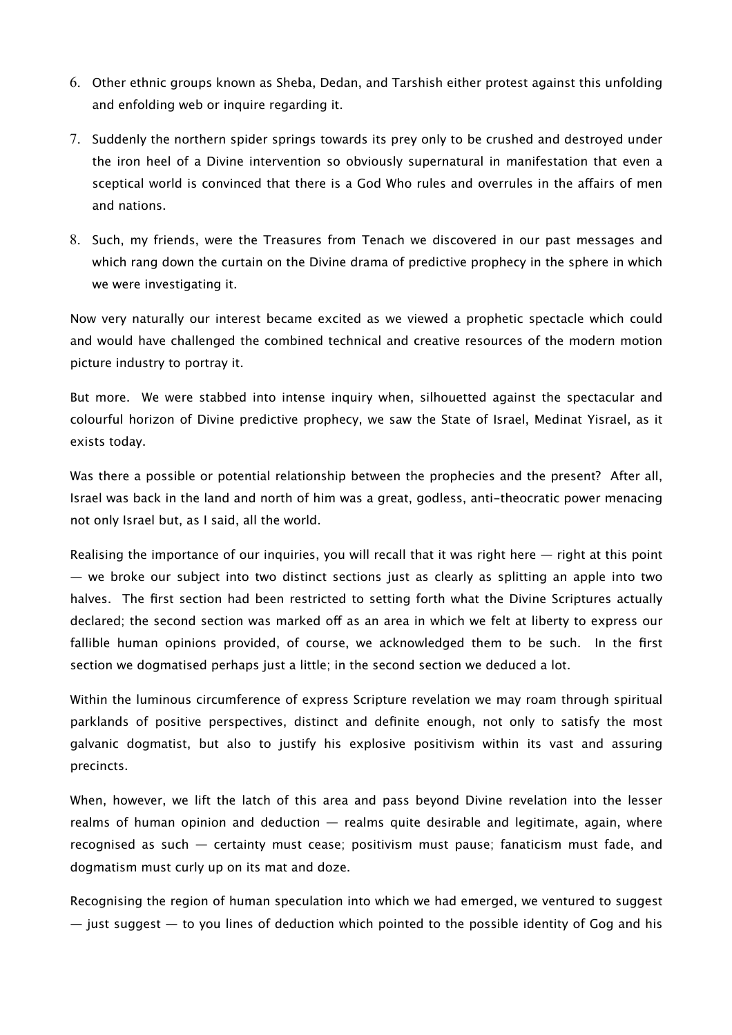- 6. Other ethnic groups known as Sheba, Dedan, and Tarshish either protest against this unfolding and enfolding web or inquire regarding it.
- 7. Suddenly the northern spider springs towards its prey only to be crushed and destroyed under the iron heel of a Divine intervention so obviously supernatural in manifestation that even a sceptical world is convinced that there is a God Who rules and overrules in the affairs of men and nations.
- 8. Such, my friends, were the Treasures from Tenach we discovered in our past messages and which rang down the curtain on the Divine drama of predictive prophecy in the sphere in which we were investigating it.

Now very naturally our interest became excited as we viewed a prophetic spectacle which could and would have challenged the combined technical and creative resources of the modern motion picture industry to portray it.

But more. We were stabbed into intense inquiry when, silhouetted against the spectacular and colourful horizon of Divine predictive prophecy, we saw the State of Israel, Medinat Yisrael, as it exists today.

Was there a possible or potential relationship between the prophecies and the present? After all, Israel was back in the land and north of him was a great, godless, anti-theocratic power menacing not only Israel but, as I said, all the world.

Realising the importance of our inquiries, you will recall that it was right here — right at this point — we broke our subject into two distinct sections just as clearly as splitting an apple into two halves. The first section had been restricted to setting forth what the Divine Scriptures actually declared; the second section was marked off as an area in which we felt at liberty to express our fallible human opinions provided, of course, we acknowledged them to be such. In the first section we dogmatised perhaps just a little; in the second section we deduced a lot.

Within the luminous circumference of express Scripture revelation we may roam through spiritual parklands of positive perspectives, distinct and definite enough, not only to satisfy the most galvanic dogmatist, but also to justify his explosive positivism within its vast and assuring precincts.

When, however, we lift the latch of this area and pass beyond Divine revelation into the lesser realms of human opinion and deduction — realms quite desirable and legitimate, again, where recognised as such — certainty must cease; positivism must pause; fanaticism must fade, and dogmatism must curly up on its mat and doze.

Recognising the region of human speculation into which we had emerged, we ventured to suggest  $-$  just suggest  $-$  to you lines of deduction which pointed to the possible identity of Gog and his